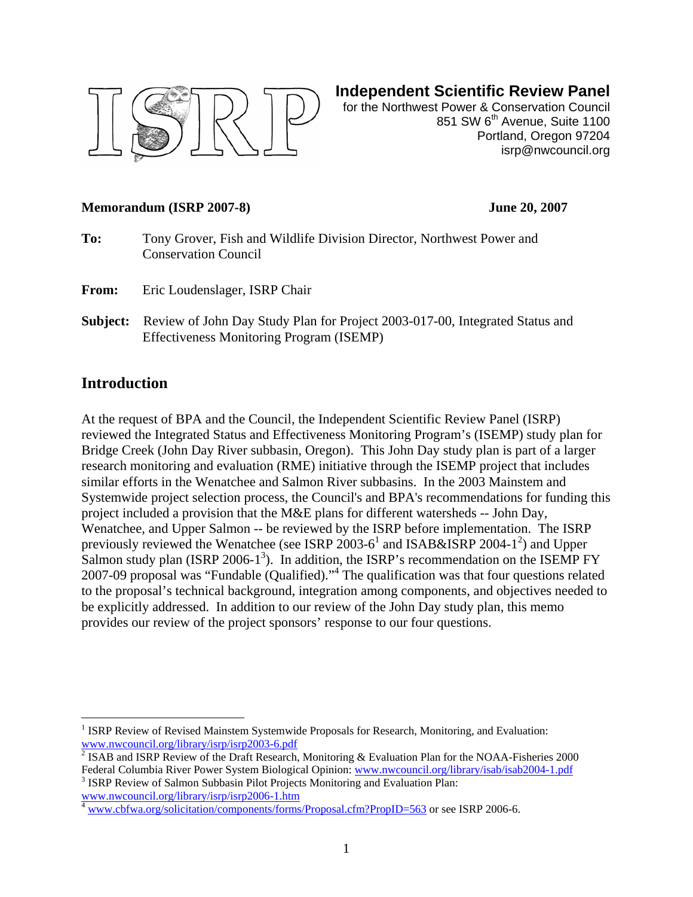

## **Independent Scientific Review Panel**

for the Northwest Power & Conservation Council 851 SW 6<sup>th</sup> Avenue, Suite 1100 Portland, Oregon 97204 isrp@nwcouncil.org

#### **Memorandum (ISRP 2007-8) June 20, 2007**

- **To:** Tony Grover, Fish and Wildlife Division Director, Northwest Power and Conservation Council
- From: Eric Loudenslager, ISRP Chair
- **Subject:** Review of John Day Study Plan for Project 2003-017-00, Integrated Status and Effectiveness Monitoring Program (ISEMP)

### **Introduction**

 $\overline{a}$ 

At the request of BPA and the Council, the Independent Scientific Review Panel (ISRP) reviewed the Integrated Status and Effectiveness Monitoring Program's (ISEMP) study plan for Bridge Creek (John Day River subbasin, Oregon). This John Day study plan is part of a larger research monitoring and evaluation (RME) initiative through the ISEMP project that includes similar efforts in the Wenatchee and Salmon River subbasins. In the 2003 Mainstem and Systemwide project selection process, the Council's and BPA's recommendations for funding this project included a provision that the M&E plans for different watersheds -- John Day, Wenatchee, and Upper Salmon -- be reviewed by the ISRP before implementation. The ISRP previously reviewed the Wenatchee (see ISRP  $2003-6^1$  $2003-6^1$  and ISAB&ISRP 2004-1<sup>2</sup>[\)](#page-0-1) and Upper Salmon study plan (ISRP 2006-1<sup>[3](#page-0-2)</sup>). In addition, the ISRP's recommendation on the ISEMP FY 2007-09 proposal was "Fundable (Qualified)."[4](#page-0-3) The qualification was that four questions related to the proposal's technical background, integration among components, and objectives needed to be explicitly addressed. In addition to our review of the John Day study plan, this memo provides our review of the project sponsors' response to our four questions.

<span id="page-0-2"></span><sup>3</sup> ISRP Review of Salmon Subbasin Pilot Projects Monitoring and Evaluation Plan:  $\frac{www.nwcount.l.org/library/isrp/isrp2006-1.htm}{n}$ 

<span id="page-0-0"></span><sup>&</sup>lt;sup>1</sup> ISRP Review of Revised Mainstem Systemwide Proposals for Research, Monitoring, and Evaluation: [www.nwcouncil.org/library/isrp/isrp2003-6.pdf 2](http://www.nwcouncil.org/fw/isrp/isrp2003-6/)

<span id="page-0-1"></span> $\sqrt[2]{\text{ISAB}}$  and ISRP Review of the Draft Research, Monitoring & Evaluation Plan for the NOAA-Fisheries 2000 Federal Columbia River Power System Biological Opinion: [www.nwcouncil.org/library/isab/isab2004-1.pdf](http://www.nwcouncil.org/fw/isrp/isabisrp2004-1/) 3

<span id="page-0-3"></span>[www.cbfwa.org/solicitation/components/forms/Proposal.cfm?PropID=563](http://www.cbfwa.org/solicitation/components/forms/Proposal.cfm?PropID=563) or see ISRP 2006-6.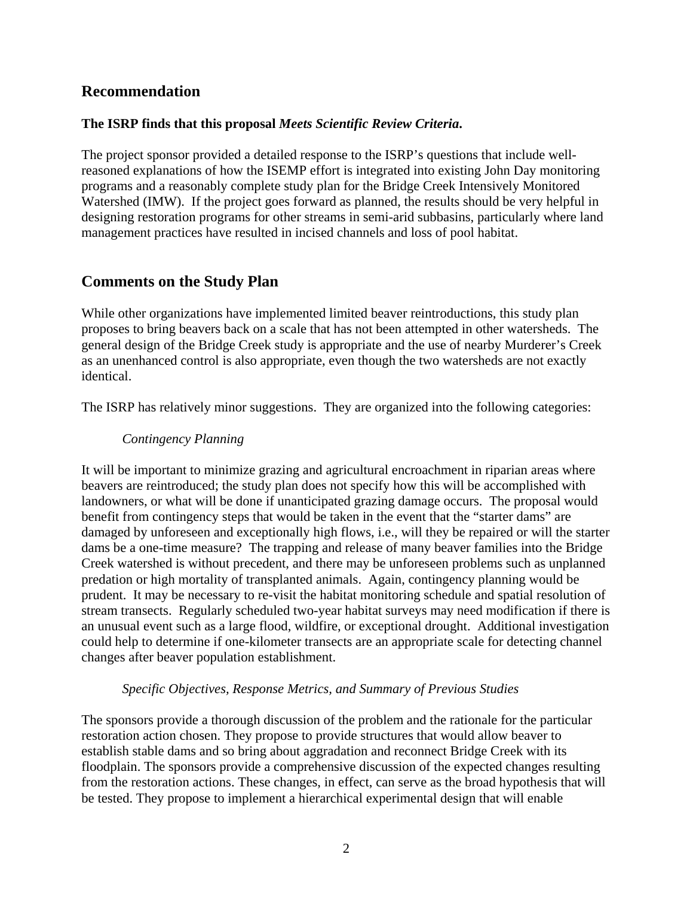## **Recommendation**

### **The ISRP finds that this proposal** *Meets Scientific Review Criteria***.**

The project sponsor provided a detailed response to the ISRP's questions that include wellreasoned explanations of how the ISEMP effort is integrated into existing John Day monitoring programs and a reasonably complete study plan for the Bridge Creek Intensively Monitored Watershed (IMW). If the project goes forward as planned, the results should be very helpful in designing restoration programs for other streams in semi-arid subbasins, particularly where land management practices have resulted in incised channels and loss of pool habitat.

# **Comments on the Study Plan**

While other organizations have implemented limited beaver reintroductions, this study plan proposes to bring beavers back on a scale that has not been attempted in other watersheds. The general design of the Bridge Creek study is appropriate and the use of nearby Murderer's Creek as an unenhanced control is also appropriate, even though the two watersheds are not exactly identical.

The ISRP has relatively minor suggestions. They are organized into the following categories:

### *Contingency Planning*

It will be important to minimize grazing and agricultural encroachment in riparian areas where beavers are reintroduced; the study plan does not specify how this will be accomplished with landowners, or what will be done if unanticipated grazing damage occurs. The proposal would benefit from contingency steps that would be taken in the event that the "starter dams" are damaged by unforeseen and exceptionally high flows, i.e., will they be repaired or will the starter dams be a one-time measure? The trapping and release of many beaver families into the Bridge Creek watershed is without precedent, and there may be unforeseen problems such as unplanned predation or high mortality of transplanted animals. Again, contingency planning would be prudent. It may be necessary to re-visit the habitat monitoring schedule and spatial resolution of stream transects. Regularly scheduled two-year habitat surveys may need modification if there is an unusual event such as a large flood, wildfire, or exceptional drought. Additional investigation could help to determine if one-kilometer transects are an appropriate scale for detecting channel changes after beaver population establishment.

#### *Specific Objectives, Response Metrics, and Summary of Previous Studies*

The sponsors provide a thorough discussion of the problem and the rationale for the particular restoration action chosen. They propose to provide structures that would allow beaver to establish stable dams and so bring about aggradation and reconnect Bridge Creek with its floodplain. The sponsors provide a comprehensive discussion of the expected changes resulting from the restoration actions. These changes, in effect, can serve as the broad hypothesis that will be tested. They propose to implement a hierarchical experimental design that will enable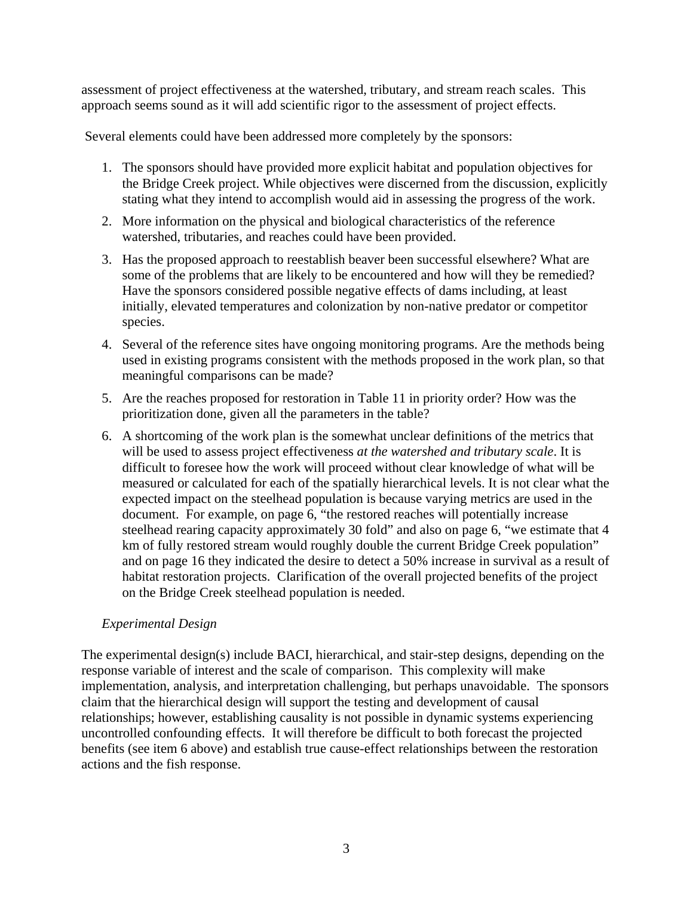assessment of project effectiveness at the watershed, tributary, and stream reach scales. This approach seems sound as it will add scientific rigor to the assessment of project effects.

Several elements could have been addressed more completely by the sponsors:

- 1. The sponsors should have provided more explicit habitat and population objectives for the Bridge Creek project. While objectives were discerned from the discussion, explicitly stating what they intend to accomplish would aid in assessing the progress of the work.
- 2. More information on the physical and biological characteristics of the reference watershed, tributaries, and reaches could have been provided.
- 3. Has the proposed approach to reestablish beaver been successful elsewhere? What are some of the problems that are likely to be encountered and how will they be remedied? Have the sponsors considered possible negative effects of dams including, at least initially, elevated temperatures and colonization by non-native predator or competitor species.
- 4. Several of the reference sites have ongoing monitoring programs. Are the methods being used in existing programs consistent with the methods proposed in the work plan, so that meaningful comparisons can be made?
- 5. Are the reaches proposed for restoration in Table 11 in priority order? How was the prioritization done, given all the parameters in the table?
- 6. A shortcoming of the work plan is the somewhat unclear definitions of the metrics that will be used to assess project effectiveness *at the watershed and tributary scale*. It is difficult to foresee how the work will proceed without clear knowledge of what will be measured or calculated for each of the spatially hierarchical levels. It is not clear what the expected impact on the steelhead population is because varying metrics are used in the document. For example, on page 6, "the restored reaches will potentially increase steelhead rearing capacity approximately 30 fold" and also on page 6, "we estimate that 4 km of fully restored stream would roughly double the current Bridge Creek population" and on page 16 they indicated the desire to detect a 50% increase in survival as a result of habitat restoration projects. Clarification of the overall projected benefits of the project on the Bridge Creek steelhead population is needed.

### *Experimental Design*

The experimental design(s) include BACI, hierarchical, and stair-step designs, depending on the response variable of interest and the scale of comparison. This complexity will make implementation, analysis, and interpretation challenging, but perhaps unavoidable. The sponsors claim that the hierarchical design will support the testing and development of causal relationships; however, establishing causality is not possible in dynamic systems experiencing uncontrolled confounding effects. It will therefore be difficult to both forecast the projected benefits (see item 6 above) and establish true cause-effect relationships between the restoration actions and the fish response.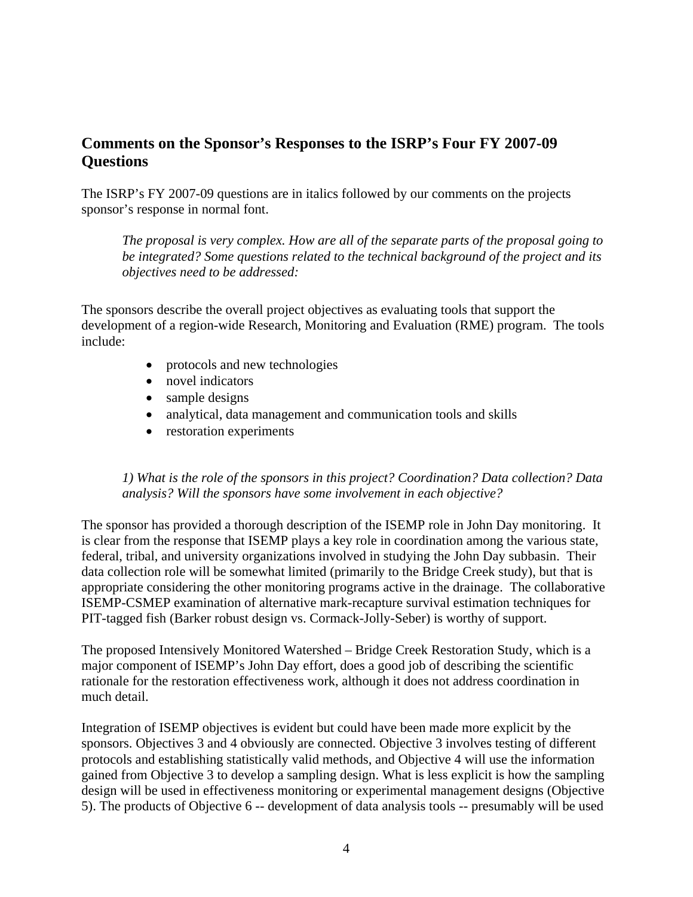# **Comments on the Sponsor's Responses to the ISRP's Four FY 2007-09 Questions**

The ISRP's FY 2007-09 questions are in italics followed by our comments on the projects sponsor's response in normal font.

*The proposal is very complex. How are all of the separate parts of the proposal going to be integrated? Some questions related to the technical background of the project and its objectives need to be addressed:* 

The sponsors describe the overall project objectives as evaluating tools that support the development of a region-wide Research, Monitoring and Evaluation (RME) program. The tools include:

- protocols and new technologies
- novel indicators
- sample designs
- analytical, data management and communication tools and skills
- restoration experiments

#### *1) What is the role of the sponsors in this project? Coordination? Data collection? Data analysis? Will the sponsors have some involvement in each objective?*

The sponsor has provided a thorough description of the ISEMP role in John Day monitoring. It is clear from the response that ISEMP plays a key role in coordination among the various state, federal, tribal, and university organizations involved in studying the John Day subbasin. Their data collection role will be somewhat limited (primarily to the Bridge Creek study), but that is appropriate considering the other monitoring programs active in the drainage. The collaborative ISEMP-CSMEP examination of alternative mark-recapture survival estimation techniques for PIT-tagged fish (Barker robust design vs. Cormack-Jolly-Seber) is worthy of support.

The proposed Intensively Monitored Watershed – Bridge Creek Restoration Study, which is a major component of ISEMP's John Day effort, does a good job of describing the scientific rationale for the restoration effectiveness work, although it does not address coordination in much detail.

Integration of ISEMP objectives is evident but could have been made more explicit by the sponsors. Objectives 3 and 4 obviously are connected. Objective 3 involves testing of different protocols and establishing statistically valid methods, and Objective 4 will use the information gained from Objective 3 to develop a sampling design. What is less explicit is how the sampling design will be used in effectiveness monitoring or experimental management designs (Objective 5). The products of Objective 6 -- development of data analysis tools -- presumably will be used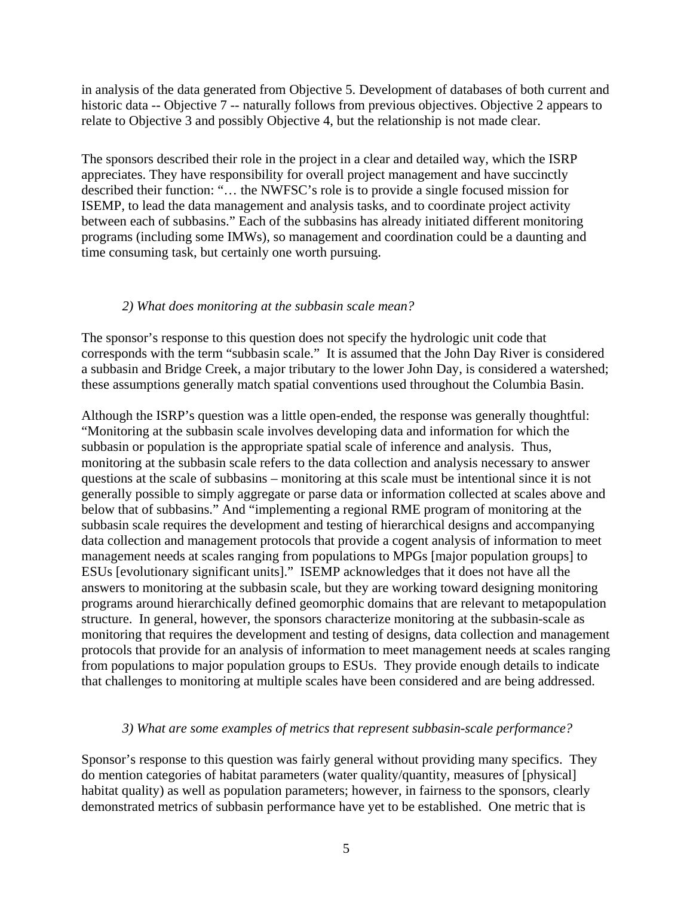in analysis of the data generated from Objective 5. Development of databases of both current and historic data -- Objective 7 -- naturally follows from previous objectives. Objective 2 appears to relate to Objective 3 and possibly Objective 4, but the relationship is not made clear.

The sponsors described their role in the project in a clear and detailed way, which the ISRP appreciates. They have responsibility for overall project management and have succinctly described their function: "… the NWFSC's role is to provide a single focused mission for ISEMP, to lead the data management and analysis tasks, and to coordinate project activity between each of subbasins." Each of the subbasins has already initiated different monitoring programs (including some IMWs), so management and coordination could be a daunting and time consuming task, but certainly one worth pursuing.

#### *2) What does monitoring at the subbasin scale mean?*

The sponsor's response to this question does not specify the hydrologic unit code that corresponds with the term "subbasin scale." It is assumed that the John Day River is considered a subbasin and Bridge Creek, a major tributary to the lower John Day, is considered a watershed; these assumptions generally match spatial conventions used throughout the Columbia Basin.

Although the ISRP's question was a little open-ended, the response was generally thoughtful: "Monitoring at the subbasin scale involves developing data and information for which the subbasin or population is the appropriate spatial scale of inference and analysis. Thus, monitoring at the subbasin scale refers to the data collection and analysis necessary to answer questions at the scale of subbasins – monitoring at this scale must be intentional since it is not generally possible to simply aggregate or parse data or information collected at scales above and below that of subbasins." And "implementing a regional RME program of monitoring at the subbasin scale requires the development and testing of hierarchical designs and accompanying data collection and management protocols that provide a cogent analysis of information to meet management needs at scales ranging from populations to MPGs [major population groups] to ESUs [evolutionary significant units]." ISEMP acknowledges that it does not have all the answers to monitoring at the subbasin scale, but they are working toward designing monitoring programs around hierarchically defined geomorphic domains that are relevant to metapopulation structure. In general, however, the sponsors characterize monitoring at the subbasin-scale as monitoring that requires the development and testing of designs, data collection and management protocols that provide for an analysis of information to meet management needs at scales ranging from populations to major population groups to ESUs. They provide enough details to indicate that challenges to monitoring at multiple scales have been considered and are being addressed.

#### *3) What are some examples of metrics that represent subbasin-scale performance?*

Sponsor's response to this question was fairly general without providing many specifics. They do mention categories of habitat parameters (water quality/quantity, measures of [physical] habitat quality) as well as population parameters; however, in fairness to the sponsors, clearly demonstrated metrics of subbasin performance have yet to be established. One metric that is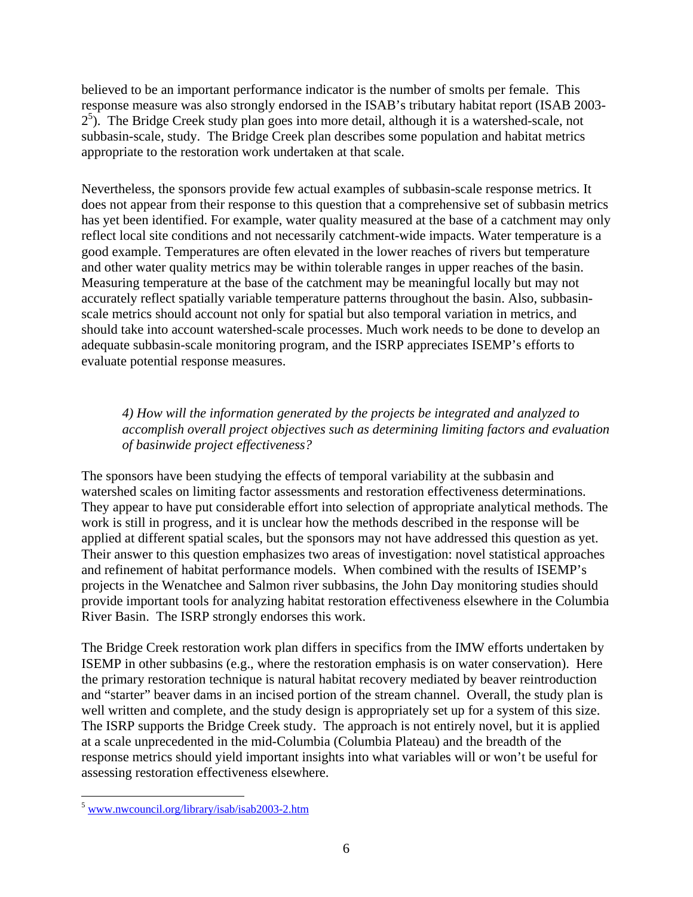believed to be an important performance indicator is the number of smolts per female. This response measure was also strongly endorsed in the ISAB's tributary habitat report (ISAB 2003-  $2<sup>5</sup>$  $2<sup>5</sup>$  $2<sup>5</sup>$ ). The Bridge Creek study plan goes into more detail, although it is a watershed-scale, not subbasin-scale, study. The Bridge Creek plan describes some population and habitat metrics appropriate to the restoration work undertaken at that scale.

Nevertheless, the sponsors provide few actual examples of subbasin-scale response metrics. It does not appear from their response to this question that a comprehensive set of subbasin metrics has yet been identified. For example, water quality measured at the base of a catchment may only reflect local site conditions and not necessarily catchment-wide impacts. Water temperature is a good example. Temperatures are often elevated in the lower reaches of rivers but temperature and other water quality metrics may be within tolerable ranges in upper reaches of the basin. Measuring temperature at the base of the catchment may be meaningful locally but may not accurately reflect spatially variable temperature patterns throughout the basin. Also, subbasinscale metrics should account not only for spatial but also temporal variation in metrics, and should take into account watershed-scale processes. Much work needs to be done to develop an adequate subbasin-scale monitoring program, and the ISRP appreciates ISEMP's efforts to evaluate potential response measures.

*4) How will the information generated by the projects be integrated and analyzed to accomplish overall project objectives such as determining limiting factors and evaluation of basinwide project effectiveness?* 

The sponsors have been studying the effects of temporal variability at the subbasin and watershed scales on limiting factor assessments and restoration effectiveness determinations. They appear to have put considerable effort into selection of appropriate analytical methods. The work is still in progress, and it is unclear how the methods described in the response will be applied at different spatial scales, but the sponsors may not have addressed this question as yet. Their answer to this question emphasizes two areas of investigation: novel statistical approaches and refinement of habitat performance models. When combined with the results of ISEMP's projects in the Wenatchee and Salmon river subbasins, the John Day monitoring studies should provide important tools for analyzing habitat restoration effectiveness elsewhere in the Columbia River Basin. The ISRP strongly endorses this work.

The Bridge Creek restoration work plan differs in specifics from the IMW efforts undertaken by ISEMP in other subbasins (e.g., where the restoration emphasis is on water conservation). Here the primary restoration technique is natural habitat recovery mediated by beaver reintroduction and "starter" beaver dams in an incised portion of the stream channel. Overall, the study plan is well written and complete, and the study design is appropriately set up for a system of this size. The ISRP supports the Bridge Creek study. The approach is not entirely novel, but it is applied at a scale unprecedented in the mid-Columbia (Columbia Plateau) and the breadth of the response metrics should yield important insights into what variables will or won't be useful for assessing restoration effectiveness elsewhere.

 $\overline{a}$ 

<span id="page-5-0"></span><sup>&</sup>lt;sup>5</sup> www.nwcouncil.org/library/isab/isab2003-2.htm